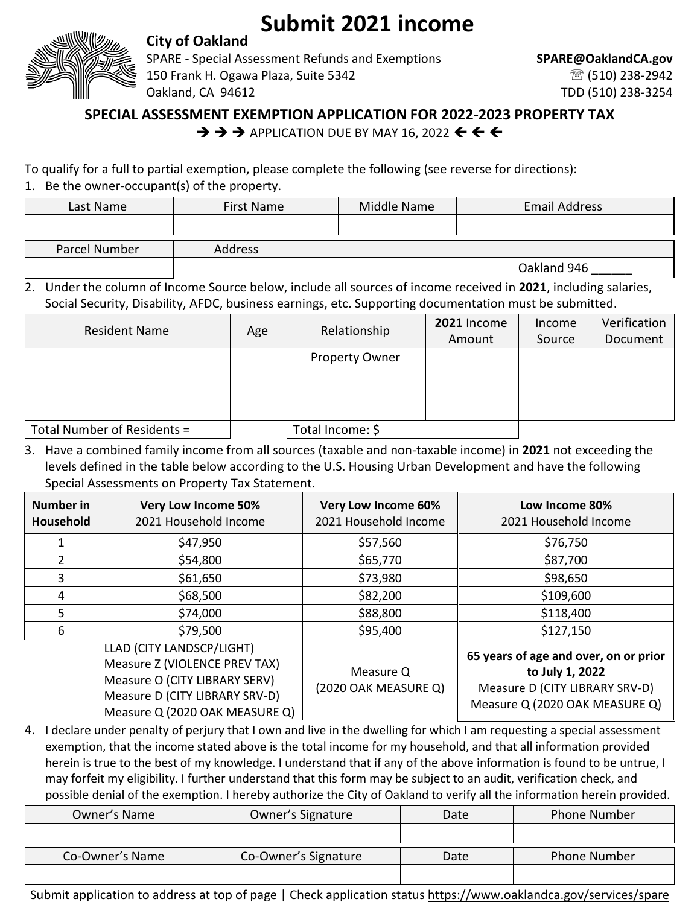## **Submit 2021 income**



## **City of Oakland**

SPARE - Special Assessment Refunds and Exemptions **SPARE@OaklandCA.gov** 150 Frank H. Ogawa Plaza, Suite 5342 (510) 238-2942 Oakland, CA 94612 TDD (510) 238-3254

## **SPECIAL ASSESSMENT EXEMPTION APPLICATION FOR 2022-2023 PROPERTY TAX**

 $\rightarrow$   $\rightarrow$   $\rightarrow$  APPLICATION DUE BY MAY 16, 2022  $\leftarrow$   $\leftarrow$   $\leftarrow$ 

## To qualify for a full to partial exemption, please complete the following (see reverse for directions):

1. Be the owner-occupant(s) of the property.

| Last Name     | <b>First Name</b> | Middle Name | <b>Email Address</b> |
|---------------|-------------------|-------------|----------------------|
|               |                   |             |                      |
| Parcel Number | Address           |             |                      |
|               |                   |             | Oakland 946          |

2. Under the column of Income Source below, include all sources of income received in **2021**, including salaries, Social Security, Disability, AFDC, business earnings, etc. Supporting documentation must be submitted.

| <b>Resident Name</b>        | Age | Relationship          | 2021 Income | Income | Verification |
|-----------------------------|-----|-----------------------|-------------|--------|--------------|
|                             |     |                       | Amount      | Source | Document     |
|                             |     | <b>Property Owner</b> |             |        |              |
|                             |     |                       |             |        |              |
|                             |     |                       |             |        |              |
|                             |     |                       |             |        |              |
| Total Number of Residents = |     | Total Income: \$      |             |        |              |

3. Have a combined family income from all sources (taxable and non-taxable income) in **2021** not exceeding the levels defined in the table below according to the U.S. Housing Urban Development and have the following Special Assessments on Property Tax Statement.

| Number in<br>Household | <b>Very Low Income 50%</b><br>2021 Household Income                                                                                                             | <b>Very Low Income 60%</b><br>2021 Household Income | Low Income 80%<br>2021 Household Income                                                                                      |
|------------------------|-----------------------------------------------------------------------------------------------------------------------------------------------------------------|-----------------------------------------------------|------------------------------------------------------------------------------------------------------------------------------|
|                        | \$47,950                                                                                                                                                        | \$57,560                                            | \$76,750                                                                                                                     |
| 2                      | \$54,800                                                                                                                                                        | \$65,770                                            | \$87,700                                                                                                                     |
| 3                      | \$61,650                                                                                                                                                        | \$73,980                                            | \$98,650                                                                                                                     |
| 4                      | \$68,500                                                                                                                                                        | \$82,200                                            | \$109,600                                                                                                                    |
| 5                      | \$74,000                                                                                                                                                        | \$88,800                                            | \$118,400                                                                                                                    |
| 6                      | \$79,500                                                                                                                                                        | \$95,400                                            | \$127,150                                                                                                                    |
|                        | LLAD (CITY LANDSCP/LIGHT)<br>Measure Z (VIOLENCE PREV TAX)<br>Measure O (CITY LIBRARY SERV)<br>Measure D (CITY LIBRARY SRV-D)<br>Measure Q (2020 OAK MEASURE Q) | Measure Q<br>(2020 OAK MEASURE Q)                   | 65 years of age and over, on or prior<br>to July 1, 2022<br>Measure D (CITY LIBRARY SRV-D)<br>Measure Q (2020 OAK MEASURE Q) |

4. I declare under penalty of perjury that I own and live in the dwelling for which I am requesting a special assessment exemption, that the income stated above is the total income for my household, and that all information provided herein is true to the best of my knowledge. I understand that if any of the above information is found to be untrue, I may forfeit my eligibility. I further understand that this form may be subject to an audit, verification check, and possible denial of the exemption. I hereby authorize the City of Oakland to verify all the information herein provided.

| Owner's Name    | Owner's Signature    | Date | <b>Phone Number</b> |
|-----------------|----------------------|------|---------------------|
|                 |                      |      |                     |
| Co-Owner's Name | Co-Owner's Signature | Date | Phone Number        |
|                 |                      |      |                     |

Submit application to address at top of page | Check application status <https://www.oaklandca.gov/services/spare>